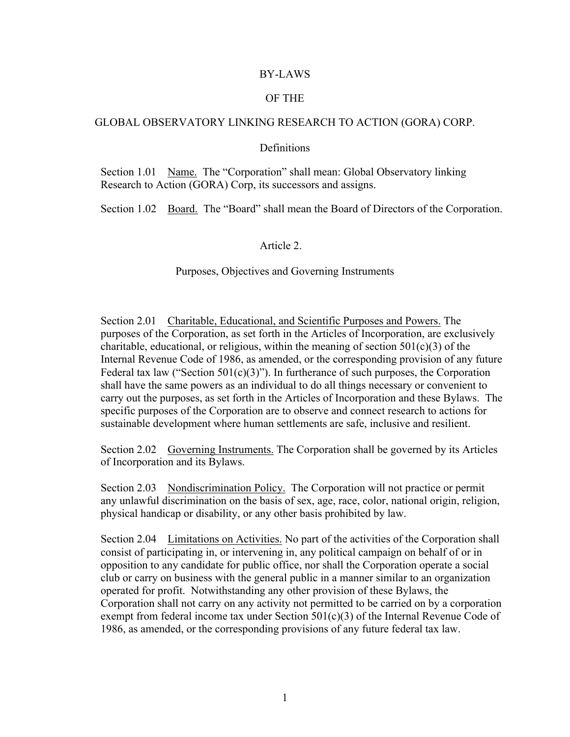### BY-LAWS

### OF THE

#### GLOBAL OBSERVATORY LINKING RESEARCH TO ACTION (GORA) CORP.

#### **Definitions**

Section 1.01 Name. The "Corporation" shall mean: Global Observatory linking Research to Action (GORA) Corp, its successors and assigns.

Section 1.02 Board. The "Board" shall mean the Board of Directors of the Corporation.

### Article 2.

### Purposes, Objectives and Governing Instruments

Section 2.01 Charitable, Educational, and Scientific Purposes and Powers. The purposes of the Corporation, as set forth in the Articles of Incorporation, are exclusively charitable, educational, or religious, within the meaning of section  $501(c)(3)$  of the Internal Revenue Code of 1986, as amended, or the corresponding provision of any future Federal tax law ("Section  $501(c)(3)$ "). In furtherance of such purposes, the Corporation shall have the same powers as an individual to do all things necessary or convenient to carry out the purposes, as set forth in the Articles of Incorporation and these Bylaws. The specific purposes of the Corporation are to observe and connect research to actions for sustainable development where human settlements are safe, inclusive and resilient.

Section 2.02 Governing Instruments. The Corporation shall be governed by its Articles of Incorporation and its Bylaws.

Section 2.03 Nondiscrimination Policy. The Corporation will not practice or permit any unlawful discrimination on the basis of sex, age, race, color, national origin, religion, physical handicap or disability, or any other basis prohibited by law.

Section 2.04 Limitations on Activities. No part of the activities of the Corporation shall consist of participating in, or intervening in, any political campaign on behalf of or in opposition to any candidate for public office, nor shall the Corporation operate a social club or carry on business with the general public in a manner similar to an organization operated for profit. Notwithstanding any other provision of these Bylaws, the Corporation shall not carry on any activity not permitted to be carried on by a corporation exempt from federal income tax under Section  $501(c)(3)$  of the Internal Revenue Code of 1986, as amended, or the corresponding provisions of any future federal tax law.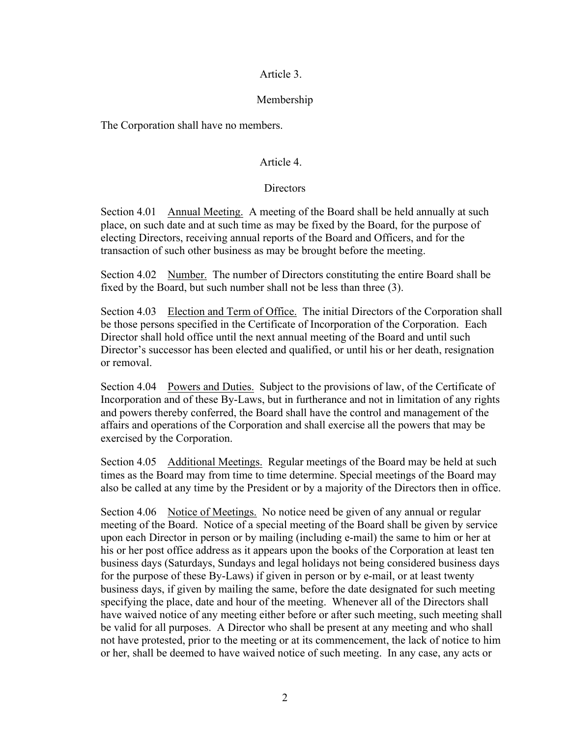## Article 3.

# Membership

The Corporation shall have no members.

# Article 4.

# **Directors**

Section 4.01 Annual Meeting. A meeting of the Board shall be held annually at such place, on such date and at such time as may be fixed by the Board, for the purpose of electing Directors, receiving annual reports of the Board and Officers, and for the transaction of such other business as may be brought before the meeting.

Section 4.02 Number. The number of Directors constituting the entire Board shall be fixed by the Board, but such number shall not be less than three (3).

Section 4.03 Election and Term of Office. The initial Directors of the Corporation shall be those persons specified in the Certificate of Incorporation of the Corporation. Each Director shall hold office until the next annual meeting of the Board and until such Director's successor has been elected and qualified, or until his or her death, resignation or removal.

Section 4.04 Powers and Duties. Subject to the provisions of law, of the Certificate of Incorporation and of these By-Laws, but in furtherance and not in limitation of any rights and powers thereby conferred, the Board shall have the control and management of the affairs and operations of the Corporation and shall exercise all the powers that may be exercised by the Corporation.

Section 4.05 Additional Meetings. Regular meetings of the Board may be held at such times as the Board may from time to time determine. Special meetings of the Board may also be called at any time by the President or by a majority of the Directors then in office.

Section 4.06 Notice of Meetings. No notice need be given of any annual or regular meeting of the Board. Notice of a special meeting of the Board shall be given by service upon each Director in person or by mailing (including e-mail) the same to him or her at his or her post office address as it appears upon the books of the Corporation at least ten business days (Saturdays, Sundays and legal holidays not being considered business days for the purpose of these By-Laws) if given in person or by e-mail, or at least twenty business days, if given by mailing the same, before the date designated for such meeting specifying the place, date and hour of the meeting. Whenever all of the Directors shall have waived notice of any meeting either before or after such meeting, such meeting shall be valid for all purposes. A Director who shall be present at any meeting and who shall not have protested, prior to the meeting or at its commencement, the lack of notice to him or her, shall be deemed to have waived notice of such meeting. In any case, any acts or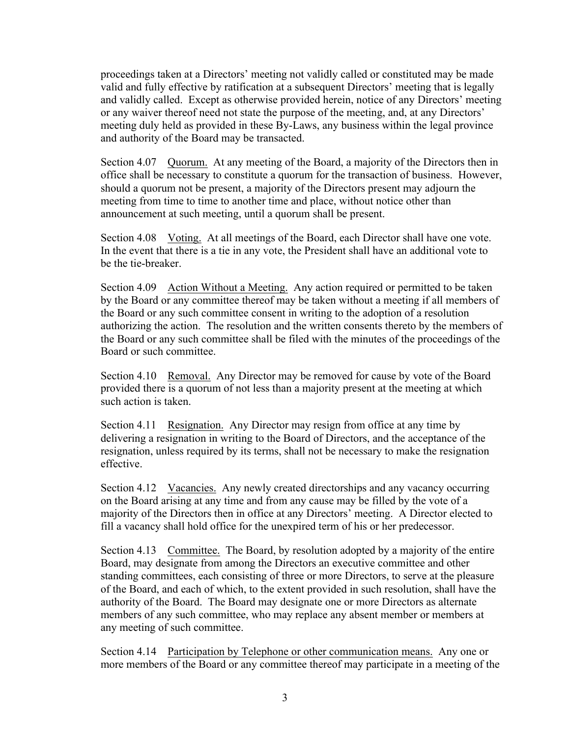proceedings taken at a Directors' meeting not validly called or constituted may be made valid and fully effective by ratification at a subsequent Directors' meeting that is legally and validly called. Except as otherwise provided herein, notice of any Directors' meeting or any waiver thereof need not state the purpose of the meeting, and, at any Directors' meeting duly held as provided in these By-Laws, any business within the legal province and authority of the Board may be transacted.

Section 4.07 Quorum. At any meeting of the Board, a majority of the Directors then in office shall be necessary to constitute a quorum for the transaction of business. However, should a quorum not be present, a majority of the Directors present may adjourn the meeting from time to time to another time and place, without notice other than announcement at such meeting, until a quorum shall be present.

Section 4.08 Voting. At all meetings of the Board, each Director shall have one vote. In the event that there is a tie in any vote, the President shall have an additional vote to be the tie-breaker.

Section 4.09 Action Without a Meeting. Any action required or permitted to be taken by the Board or any committee thereof may be taken without a meeting if all members of the Board or any such committee consent in writing to the adoption of a resolution authorizing the action. The resolution and the written consents thereto by the members of the Board or any such committee shall be filed with the minutes of the proceedings of the Board or such committee.

Section 4.10 Removal. Any Director may be removed for cause by vote of the Board provided there is a quorum of not less than a majority present at the meeting at which such action is taken.

Section 4.11 Resignation. Any Director may resign from office at any time by delivering a resignation in writing to the Board of Directors, and the acceptance of the resignation, unless required by its terms, shall not be necessary to make the resignation effective.

Section 4.12 Vacancies. Any newly created directorships and any vacancy occurring on the Board arising at any time and from any cause may be filled by the vote of a majority of the Directors then in office at any Directors' meeting. A Director elected to fill a vacancy shall hold office for the unexpired term of his or her predecessor.

Section 4.13 Committee. The Board, by resolution adopted by a majority of the entire Board, may designate from among the Directors an executive committee and other standing committees, each consisting of three or more Directors, to serve at the pleasure of the Board, and each of which, to the extent provided in such resolution, shall have the authority of the Board. The Board may designate one or more Directors as alternate members of any such committee, who may replace any absent member or members at any meeting of such committee.

Section 4.14 Participation by Telephone or other communication means. Any one or more members of the Board or any committee thereof may participate in a meeting of the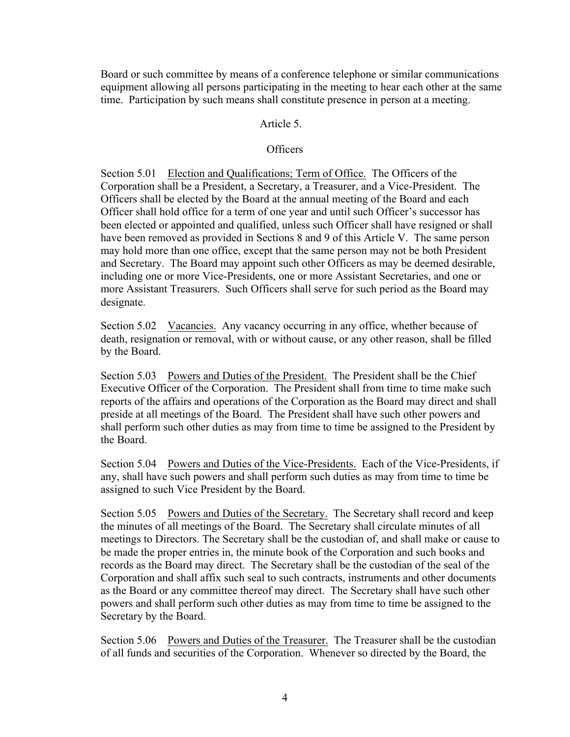Board or such committee by means of a conference telephone or similar communications equipment allowing all persons participating in the meeting to hear each other at the same time. Participation by such means shall constitute presence in person at a meeting.

## Article 5.

## **Officers**

Section 5.01 Election and Qualifications; Term of Office. The Officers of the Corporation shall be a President, a Secretary, a Treasurer, and a Vice-President. The Officers shall be elected by the Board at the annual meeting of the Board and each Officer shall hold office for a term of one year and until such Officer's successor has been elected or appointed and qualified, unless such Officer shall have resigned or shall have been removed as provided in Sections 8 and 9 of this Article V. The same person may hold more than one office, except that the same person may not be both President and Secretary. The Board may appoint such other Officers as may be deemed desirable, including one or more Vice-Presidents, one or more Assistant Secretaries, and one or more Assistant Treasurers. Such Officers shall serve for such period as the Board may designate.

Section 5.02 Vacancies. Any vacancy occurring in any office, whether because of death, resignation or removal, with or without cause, or any other reason, shall be filled by the Board.

Section 5.03 Powers and Duties of the President. The President shall be the Chief Executive Officer of the Corporation. The President shall from time to time make such reports of the affairs and operations of the Corporation as the Board may direct and shall preside at all meetings of the Board. The President shall have such other powers and shall perform such other duties as may from time to time be assigned to the President by the Board.

Section 5.04 Powers and Duties of the Vice-Presidents. Each of the Vice-Presidents, if any, shall have such powers and shall perform such duties as may from time to time be assigned to such Vice President by the Board.

Section 5.05 Powers and Duties of the Secretary. The Secretary shall record and keep the minutes of all meetings of the Board. The Secretary shall circulate minutes of all meetings to Directors. The Secretary shall be the custodian of, and shall make or cause to be made the proper entries in, the minute book of the Corporation and such books and records as the Board may direct. The Secretary shall be the custodian of the seal of the Corporation and shall affix such seal to such contracts, instruments and other documents as the Board or any committee thereof may direct. The Secretary shall have such other powers and shall perform such other duties as may from time to time be assigned to the Secretary by the Board.

Section 5.06 Powers and Duties of the Treasurer. The Treasurer shall be the custodian of all funds and securities of the Corporation. Whenever so directed by the Board, the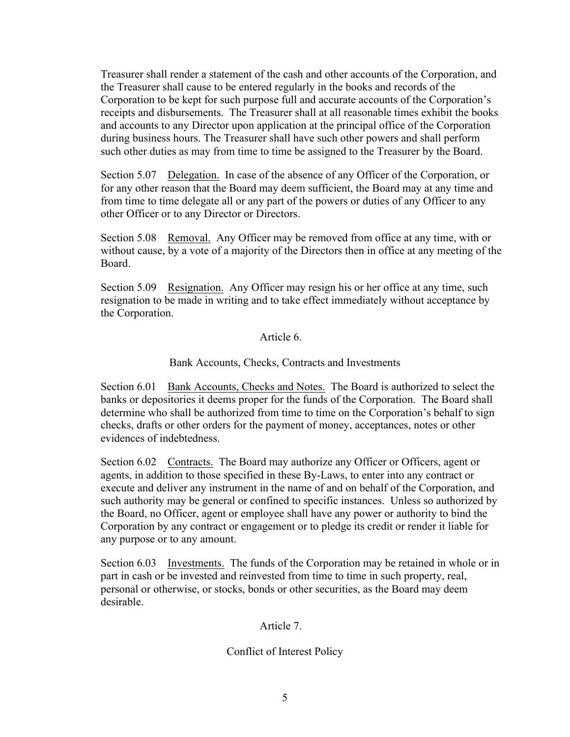Treasurer shall render a statement of the cash and other accounts of the Corporation, and the Treasurer shall cause to be entered regularly in the books and records of the Corporation to be kept for such purpose full and accurate accounts of the Corporation's receipts and disbursements. The Treasurer shall at all reasonable times exhibit the books and accounts to any Director upon application at the principal office of the Corporation during business hours. The Treasurer shall have such other powers and shall perform such other duties as may from time to time be assigned to the Treasurer by the Board.

Section 5.07 Delegation. In case of the absence of any Officer of the Corporation, or for any other reason that the Board may deem sufficient, the Board may at any time and from time to time delegate all or any part of the powers or duties of any Officer to any other Officer or to any Director or Directors.

Section 5.08 Removal. Any Officer may be removed from office at any time, with or without cause, by a vote of a majority of the Directors then in office at any meeting of the Board.

Section 5.09 Resignation. Any Officer may resign his or her office at any time, such resignation to be made in writing and to take effect immediately without acceptance by the Corporation.

## Article 6.

## Bank Accounts, Checks, Contracts and Investments

Section 6.01 Bank Accounts, Checks and Notes. The Board is authorized to select the banks or depositories it deems proper for the funds of the Corporation. The Board shall determine who shall be authorized from time to time on the Corporation's behalf to sign checks, drafts or other orders for the payment of money, acceptances, notes or other evidences of indebtedness.

Section 6.02 Contracts. The Board may authorize any Officer or Officers, agent or agents, in addition to those specified in these By-Laws, to enter into any contract or execute and deliver any instrument in the name of and on behalf of the Corporation, and such authority may be general or confined to specific instances. Unless so authorized by the Board, no Officer, agent or employee shall have any power or authority to bind the Corporation by any contract or engagement or to pledge its credit or render it liable for any purpose or to any amount.

Section 6.03 Investments. The funds of the Corporation may be retained in whole or in part in cash or be invested and reinvested from time to time in such property, real, personal or otherwise, or stocks, bonds or other securities, as the Board may deem desirable.

## Article 7.

## Conflict of Interest Policy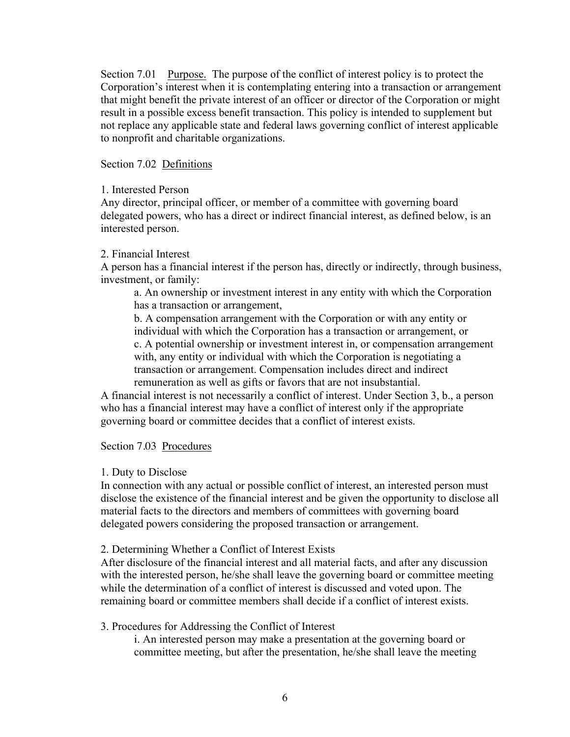Section 7.01 Purpose. The purpose of the conflict of interest policy is to protect the Corporation's interest when it is contemplating entering into a transaction or arrangement that might benefit the private interest of an officer or director of the Corporation or might result in a possible excess benefit transaction. This policy is intended to supplement but not replace any applicable state and federal laws governing conflict of interest applicable to nonprofit and charitable organizations.

## Section 7.02 Definitions

#### 1. Interested Person

Any director, principal officer, or member of a committee with governing board delegated powers, who has a direct or indirect financial interest, as defined below, is an interested person.

### 2. Financial Interest

A person has a financial interest if the person has, directly or indirectly, through business, investment, or family:

a. An ownership or investment interest in any entity with which the Corporation has a transaction or arrangement,

b. A compensation arrangement with the Corporation or with any entity or individual with which the Corporation has a transaction or arrangement, or c. A potential ownership or investment interest in, or compensation arrangement with, any entity or individual with which the Corporation is negotiating a transaction or arrangement. Compensation includes direct and indirect remuneration as well as gifts or favors that are not insubstantial.

A financial interest is not necessarily a conflict of interest. Under Section 3, b., a person who has a financial interest may have a conflict of interest only if the appropriate governing board or committee decides that a conflict of interest exists.

Section 7.03 Procedures

### 1. Duty to Disclose

In connection with any actual or possible conflict of interest, an interested person must disclose the existence of the financial interest and be given the opportunity to disclose all material facts to the directors and members of committees with governing board delegated powers considering the proposed transaction or arrangement.

### 2. Determining Whether a Conflict of Interest Exists

After disclosure of the financial interest and all material facts, and after any discussion with the interested person, he/she shall leave the governing board or committee meeting while the determination of a conflict of interest is discussed and voted upon. The remaining board or committee members shall decide if a conflict of interest exists.

### 3. Procedures for Addressing the Conflict of Interest

i. An interested person may make a presentation at the governing board or committee meeting, but after the presentation, he/she shall leave the meeting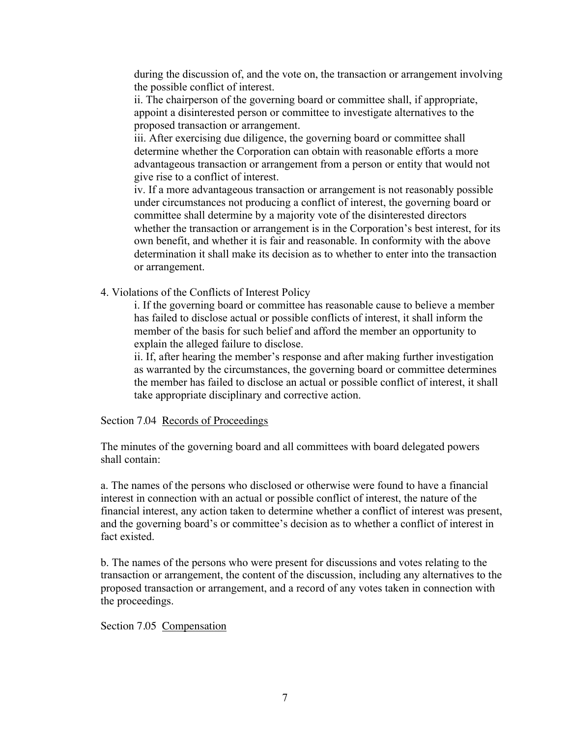during the discussion of, and the vote on, the transaction or arrangement involving the possible conflict of interest.

ii. The chairperson of the governing board or committee shall, if appropriate, appoint a disinterested person or committee to investigate alternatives to the proposed transaction or arrangement.

iii. After exercising due diligence, the governing board or committee shall determine whether the Corporation can obtain with reasonable efforts a more advantageous transaction or arrangement from a person or entity that would not give rise to a conflict of interest.

iv. If a more advantageous transaction or arrangement is not reasonably possible under circumstances not producing a conflict of interest, the governing board or committee shall determine by a majority vote of the disinterested directors whether the transaction or arrangement is in the Corporation's best interest, for its own benefit, and whether it is fair and reasonable. In conformity with the above determination it shall make its decision as to whether to enter into the transaction or arrangement.

4. Violations of the Conflicts of Interest Policy

i. If the governing board or committee has reasonable cause to believe a member has failed to disclose actual or possible conflicts of interest, it shall inform the member of the basis for such belief and afford the member an opportunity to explain the alleged failure to disclose.

ii. If, after hearing the member's response and after making further investigation as warranted by the circumstances, the governing board or committee determines the member has failed to disclose an actual or possible conflict of interest, it shall take appropriate disciplinary and corrective action.

Section 7.04 Records of Proceedings

The minutes of the governing board and all committees with board delegated powers shall contain:

a. The names of the persons who disclosed or otherwise were found to have a financial interest in connection with an actual or possible conflict of interest, the nature of the financial interest, any action taken to determine whether a conflict of interest was present, and the governing board's or committee's decision as to whether a conflict of interest in fact existed.

b. The names of the persons who were present for discussions and votes relating to the transaction or arrangement, the content of the discussion, including any alternatives to the proposed transaction or arrangement, and a record of any votes taken in connection with the proceedings.

Section 7.05 Compensation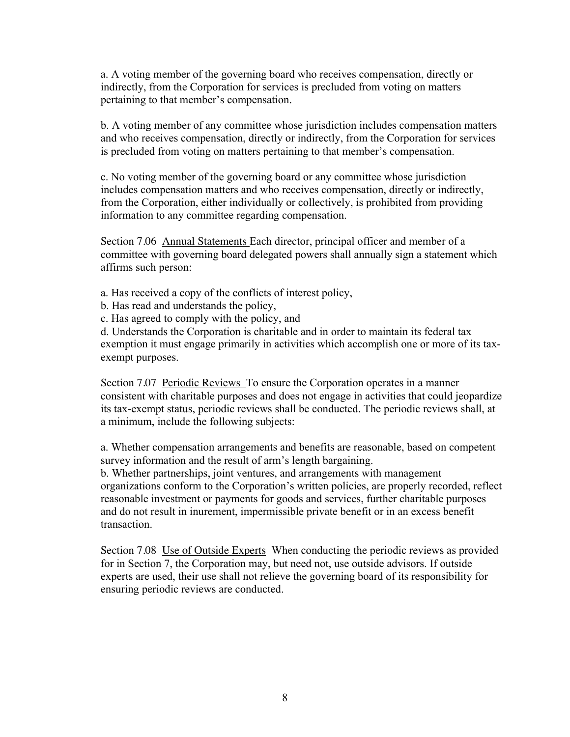a. A voting member of the governing board who receives compensation, directly or indirectly, from the Corporation for services is precluded from voting on matters pertaining to that member's compensation.

b. A voting member of any committee whose jurisdiction includes compensation matters and who receives compensation, directly or indirectly, from the Corporation for services is precluded from voting on matters pertaining to that member's compensation.

c. No voting member of the governing board or any committee whose jurisdiction includes compensation matters and who receives compensation, directly or indirectly, from the Corporation, either individually or collectively, is prohibited from providing information to any committee regarding compensation.

Section 7.06 Annual Statements Each director, principal officer and member of a committee with governing board delegated powers shall annually sign a statement which affirms such person:

- a. Has received a copy of the conflicts of interest policy,
- b. Has read and understands the policy,
- c. Has agreed to comply with the policy, and

d. Understands the Corporation is charitable and in order to maintain its federal tax exemption it must engage primarily in activities which accomplish one or more of its taxexempt purposes.

Section 7.07 Periodic Reviews To ensure the Corporation operates in a manner consistent with charitable purposes and does not engage in activities that could jeopardize its tax-exempt status, periodic reviews shall be conducted. The periodic reviews shall, at a minimum, include the following subjects:

a. Whether compensation arrangements and benefits are reasonable, based on competent survey information and the result of arm's length bargaining.

b. Whether partnerships, joint ventures, and arrangements with management organizations conform to the Corporation's written policies, are properly recorded, reflect reasonable investment or payments for goods and services, further charitable purposes and do not result in inurement, impermissible private benefit or in an excess benefit transaction.

Section 7.08 Use of Outside Experts When conducting the periodic reviews as provided for in Section 7, the Corporation may, but need not, use outside advisors. If outside experts are used, their use shall not relieve the governing board of its responsibility for ensuring periodic reviews are conducted.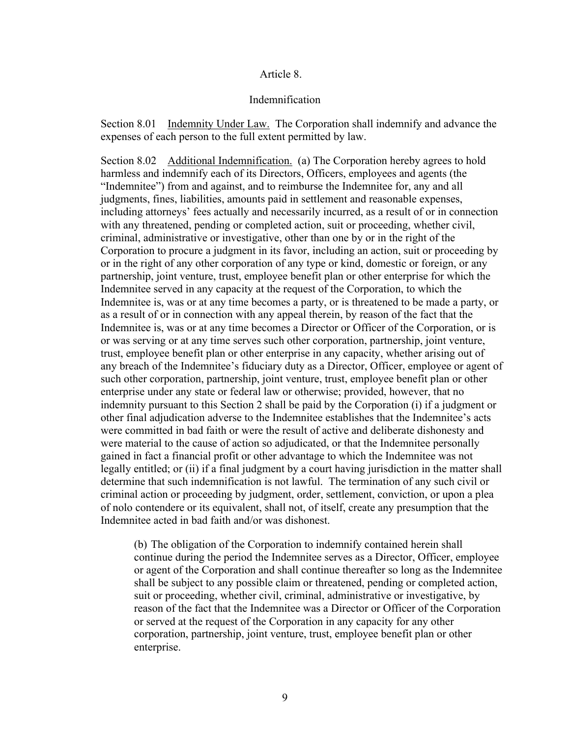### Article 8.

### Indemnification

Section 8.01 Indemnity Under Law. The Corporation shall indemnify and advance the expenses of each person to the full extent permitted by law.

Section 8.02 Additional Indemnification. (a) The Corporation hereby agrees to hold harmless and indemnify each of its Directors, Officers, employees and agents (the "Indemnitee") from and against, and to reimburse the Indemnitee for, any and all judgments, fines, liabilities, amounts paid in settlement and reasonable expenses, including attorneys' fees actually and necessarily incurred, as a result of or in connection with any threatened, pending or completed action, suit or proceeding, whether civil, criminal, administrative or investigative, other than one by or in the right of the Corporation to procure a judgment in its favor, including an action, suit or proceeding by or in the right of any other corporation of any type or kind, domestic or foreign, or any partnership, joint venture, trust, employee benefit plan or other enterprise for which the Indemnitee served in any capacity at the request of the Corporation, to which the Indemnitee is, was or at any time becomes a party, or is threatened to be made a party, or as a result of or in connection with any appeal therein, by reason of the fact that the Indemnitee is, was or at any time becomes a Director or Officer of the Corporation, or is or was serving or at any time serves such other corporation, partnership, joint venture, trust, employee benefit plan or other enterprise in any capacity, whether arising out of any breach of the Indemnitee's fiduciary duty as a Director, Officer, employee or agent of such other corporation, partnership, joint venture, trust, employee benefit plan or other enterprise under any state or federal law or otherwise; provided, however, that no indemnity pursuant to this Section 2 shall be paid by the Corporation (i) if a judgment or other final adjudication adverse to the Indemnitee establishes that the Indemnitee's acts were committed in bad faith or were the result of active and deliberate dishonesty and were material to the cause of action so adjudicated, or that the Indemnitee personally gained in fact a financial profit or other advantage to which the Indemnitee was not legally entitled; or (ii) if a final judgment by a court having jurisdiction in the matter shall determine that such indemnification is not lawful. The termination of any such civil or criminal action or proceeding by judgment, order, settlement, conviction, or upon a plea of nolo contendere or its equivalent, shall not, of itself, create any presumption that the Indemnitee acted in bad faith and/or was dishonest.

(b) The obligation of the Corporation to indemnify contained herein shall continue during the period the Indemnitee serves as a Director, Officer, employee or agent of the Corporation and shall continue thereafter so long as the Indemnitee shall be subject to any possible claim or threatened, pending or completed action, suit or proceeding, whether civil, criminal, administrative or investigative, by reason of the fact that the Indemnitee was a Director or Officer of the Corporation or served at the request of the Corporation in any capacity for any other corporation, partnership, joint venture, trust, employee benefit plan or other enterprise.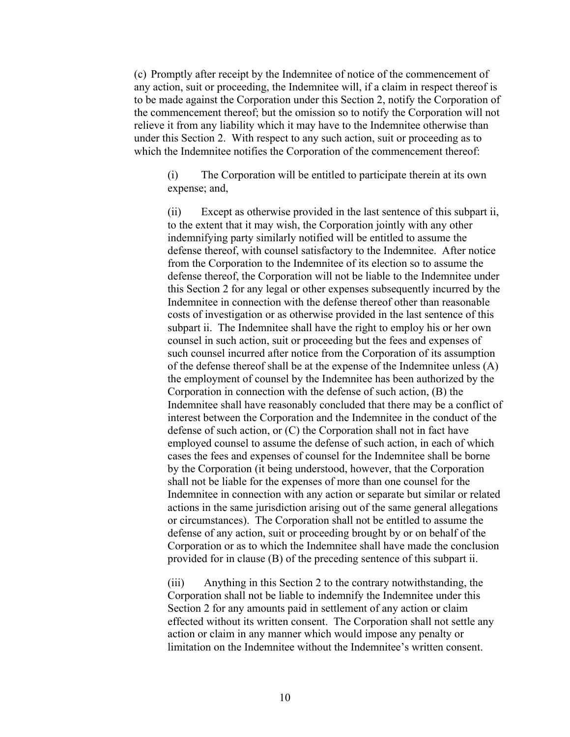(c) Promptly after receipt by the Indemnitee of notice of the commencement of any action, suit or proceeding, the Indemnitee will, if a claim in respect thereof is to be made against the Corporation under this Section 2, notify the Corporation of the commencement thereof; but the omission so to notify the Corporation will not relieve it from any liability which it may have to the Indemnitee otherwise than under this Section 2. With respect to any such action, suit or proceeding as to which the Indemnitee notifies the Corporation of the commencement thereof:

(i) The Corporation will be entitled to participate therein at its own expense; and,

(ii) Except as otherwise provided in the last sentence of this subpart ii, to the extent that it may wish, the Corporation jointly with any other indemnifying party similarly notified will be entitled to assume the defense thereof, with counsel satisfactory to the Indemnitee. After notice from the Corporation to the Indemnitee of its election so to assume the defense thereof, the Corporation will not be liable to the Indemnitee under this Section 2 for any legal or other expenses subsequently incurred by the Indemnitee in connection with the defense thereof other than reasonable costs of investigation or as otherwise provided in the last sentence of this subpart ii. The Indemnitee shall have the right to employ his or her own counsel in such action, suit or proceeding but the fees and expenses of such counsel incurred after notice from the Corporation of its assumption of the defense thereof shall be at the expense of the Indemnitee unless (A) the employment of counsel by the Indemnitee has been authorized by the Corporation in connection with the defense of such action, (B) the Indemnitee shall have reasonably concluded that there may be a conflict of interest between the Corporation and the Indemnitee in the conduct of the defense of such action, or (C) the Corporation shall not in fact have employed counsel to assume the defense of such action, in each of which cases the fees and expenses of counsel for the Indemnitee shall be borne by the Corporation (it being understood, however, that the Corporation shall not be liable for the expenses of more than one counsel for the Indemnitee in connection with any action or separate but similar or related actions in the same jurisdiction arising out of the same general allegations or circumstances). The Corporation shall not be entitled to assume the defense of any action, suit or proceeding brought by or on behalf of the Corporation or as to which the Indemnitee shall have made the conclusion provided for in clause (B) of the preceding sentence of this subpart ii.

(iii) Anything in this Section 2 to the contrary notwithstanding, the Corporation shall not be liable to indemnify the Indemnitee under this Section 2 for any amounts paid in settlement of any action or claim effected without its written consent. The Corporation shall not settle any action or claim in any manner which would impose any penalty or limitation on the Indemnitee without the Indemnitee's written consent.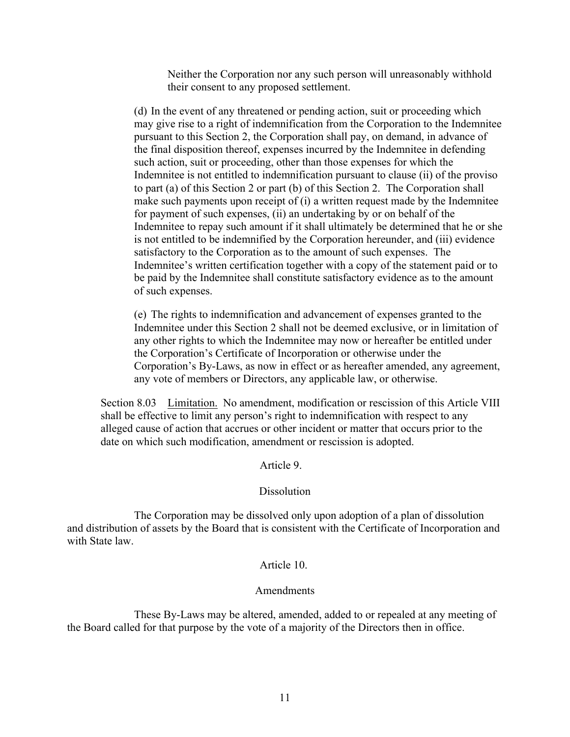Neither the Corporation nor any such person will unreasonably withhold their consent to any proposed settlement.

(d) In the event of any threatened or pending action, suit or proceeding which may give rise to a right of indemnification from the Corporation to the Indemnitee pursuant to this Section 2, the Corporation shall pay, on demand, in advance of the final disposition thereof, expenses incurred by the Indemnitee in defending such action, suit or proceeding, other than those expenses for which the Indemnitee is not entitled to indemnification pursuant to clause (ii) of the proviso to part (a) of this Section 2 or part (b) of this Section 2. The Corporation shall make such payments upon receipt of (i) a written request made by the Indemnitee for payment of such expenses, (ii) an undertaking by or on behalf of the Indemnitee to repay such amount if it shall ultimately be determined that he or she is not entitled to be indemnified by the Corporation hereunder, and (iii) evidence satisfactory to the Corporation as to the amount of such expenses. The Indemnitee's written certification together with a copy of the statement paid or to be paid by the Indemnitee shall constitute satisfactory evidence as to the amount of such expenses.

(e) The rights to indemnification and advancement of expenses granted to the Indemnitee under this Section 2 shall not be deemed exclusive, or in limitation of any other rights to which the Indemnitee may now or hereafter be entitled under the Corporation's Certificate of Incorporation or otherwise under the Corporation's By-Laws, as now in effect or as hereafter amended, any agreement, any vote of members or Directors, any applicable law, or otherwise.

Section 8.03 Limitation. No amendment, modification or rescission of this Article VIII shall be effective to limit any person's right to indemnification with respect to any alleged cause of action that accrues or other incident or matter that occurs prior to the date on which such modification, amendment or rescission is adopted.

Article 9.

### **Dissolution**

The Corporation may be dissolved only upon adoption of a plan of dissolution and distribution of assets by the Board that is consistent with the Certificate of Incorporation and with State law.

### Article 10.

#### **Amendments**

These By-Laws may be altered, amended, added to or repealed at any meeting of the Board called for that purpose by the vote of a majority of the Directors then in office.